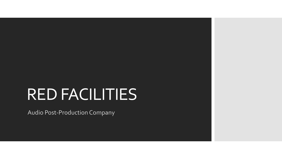# RED FACILITIES

Audio Post-Production Company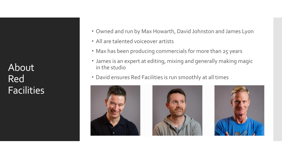About Red **Facilities** 

- Owned and run by Max Howarth, David Johnston and James Lyon
- All are talented voiceover artists
- Max has been producing commercials for more than 25 years
- James is an expert at editing, mixing and generally making magic in the studio
- David ensures Red Facilities is run smoothly at all times





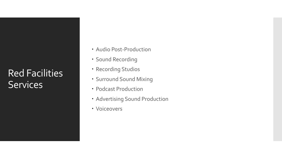## Red Facilities **Services**

- Audio Post-Production
- Sound Recording
- Recording Studios
- Surround Sound Mixing
- Podcast Production
- Advertising Sound Production
- Voiceovers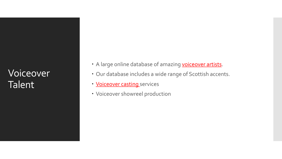## Voiceover Talent

- A large online database of amazing [voiceover artists.](https://www.redfacilities.com/voice-talent/voice-finder/)
- Our database includes a wide range of Scottish accents.
- [Voiceover casting s](https://www.redfacilities.com/voice-talent/)ervices
- Voiceover showreel production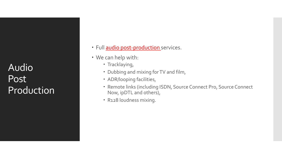**Audio** Post **Production** 

- · Full [audio post-production s](https://www.redfacilities.com/what-we-do/audio-post-production/)ervices.
- We can help with:
	- Tracklaying,
	- Dubbing and mixing for TV and film,
	- ADR/looping facilities,
	- Remote links (including ISDN, Source Connect Pro, Source Connect Now, ipDTL and others),
	- R128 loudness mixing.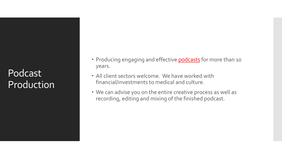#### Podcast Production

- Producing engaging and effective **podcasts** for more than 10 years.
- All client sectors welcome. We have worked with financial/investments to medical and culture.
- We can advise you on the entire creative process as well as recording, editing and mixing of the finished podcast.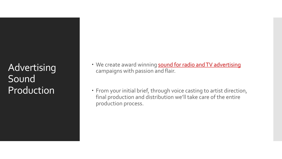**Advertising** Sound Production

- We create award winning sound for radio and TV advertising campaigns with passion and flair.
- From your initial brief, through voice casting to artist direction, final production and distribution we'll take care of the entire production process.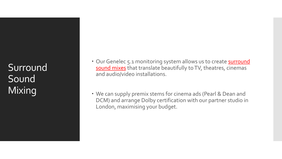Surround Sound Mixing

- Our Genelec 5.1 monitoring system allows us to create **surround** sound mixes that translate beautifully to TV, theatres, cinemas and audio/video installations.
- We can supply premix stems for cinema ads (Pearl & Dean and DCM) and arrange Dolby certification with our partner studio in London, maximising your budget.